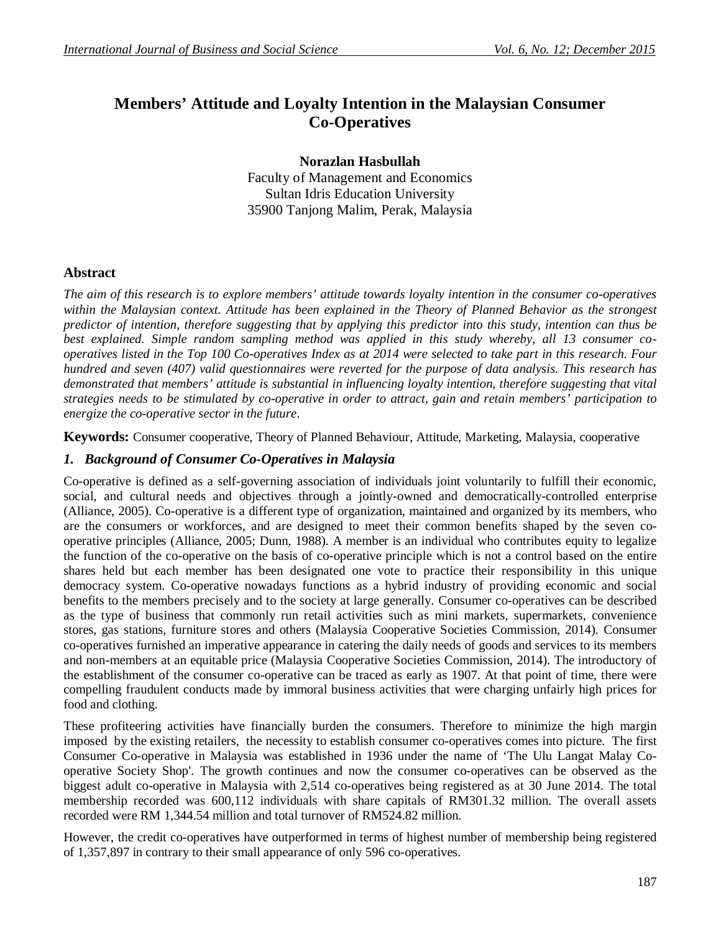# **Members' Attitude and Loyalty Intention in the Malaysian Consumer Co-Operatives**

**Norazlan Hasbullah** Faculty of Management and Economics Sultan Idris Education University 35900 Tanjong Malim, Perak, Malaysia

#### **Abstract**

*The aim of this research is to explore members' attitude towards loyalty intention in the consumer co-operatives within the Malaysian context. Attitude has been explained in the Theory of Planned Behavior as the strongest predictor of intention, therefore suggesting that by applying this predictor into this study, intention can thus be best explained. Simple random sampling method was applied in this study whereby, all 13 consumer cooperatives listed in the Top 100 Co-operatives Index as at 2014 were selected to take part in this research. Four hundred and seven (407) valid questionnaires were reverted for the purpose of data analysis. This research has demonstrated that members' attitude is substantial in influencing loyalty intention, therefore suggesting that vital strategies needs to be stimulated by co-operative in order to attract, gain and retain members' participation to energize the co-operative sector in the future*.

**Keywords:** Consumer cooperative, Theory of Planned Behaviour, Attitude, Marketing, Malaysia, cooperative

#### *1. Background of Consumer Co-Operatives in Malaysia*

Co-operative is defined as a self-governing association of individuals joint voluntarily to fulfill their economic, social, and cultural needs and objectives through a jointly-owned and democratically-controlled enterprise (Alliance, 2005). Co-operative is a different type of organization, maintained and organized by its members, who are the consumers or workforces, and are designed to meet their common benefits shaped by the seven cooperative principles (Alliance, 2005; Dunn, 1988). A member is an individual who contributes equity to legalize the function of the co-operative on the basis of co-operative principle which is not a control based on the entire shares held but each member has been designated one vote to practice their responsibility in this unique democracy system. Co-operative nowadays functions as a hybrid industry of providing economic and social benefits to the members precisely and to the society at large generally. Consumer co-operatives can be described as the type of business that commonly run retail activities such as mini markets, supermarkets, convenience stores, gas stations, furniture stores and others (Malaysia Cooperative Societies Commission, 2014). Consumer co-operatives furnished an imperative appearance in catering the daily needs of goods and services to its members and non-members at an equitable price (Malaysia Cooperative Societies Commission, 2014). The introductory of the establishment of the consumer co-operative can be traced as early as 1907. At that point of time, there were compelling fraudulent conducts made by immoral business activities that were charging unfairly high prices for food and clothing.

These profiteering activities have financially burden the consumers. Therefore to minimize the high margin imposed by the existing retailers, the necessity to establish consumer co-operatives comes into picture. The first Consumer Co-operative in Malaysia was established in 1936 under the name of 'The Ulu Langat Malay Cooperative Society Shop'. The growth continues and now the consumer co-operatives can be observed as the biggest adult co-operative in Malaysia with 2,514 co-operatives being registered as at 30 June 2014. The total membership recorded was 600,112 individuals with share capitals of RM301.32 million. The overall assets recorded were RM 1,344.54 million and total turnover of RM524.82 million.

However, the credit co-operatives have outperformed in terms of highest number of membership being registered of 1,357,897 in contrary to their small appearance of only 596 co-operatives.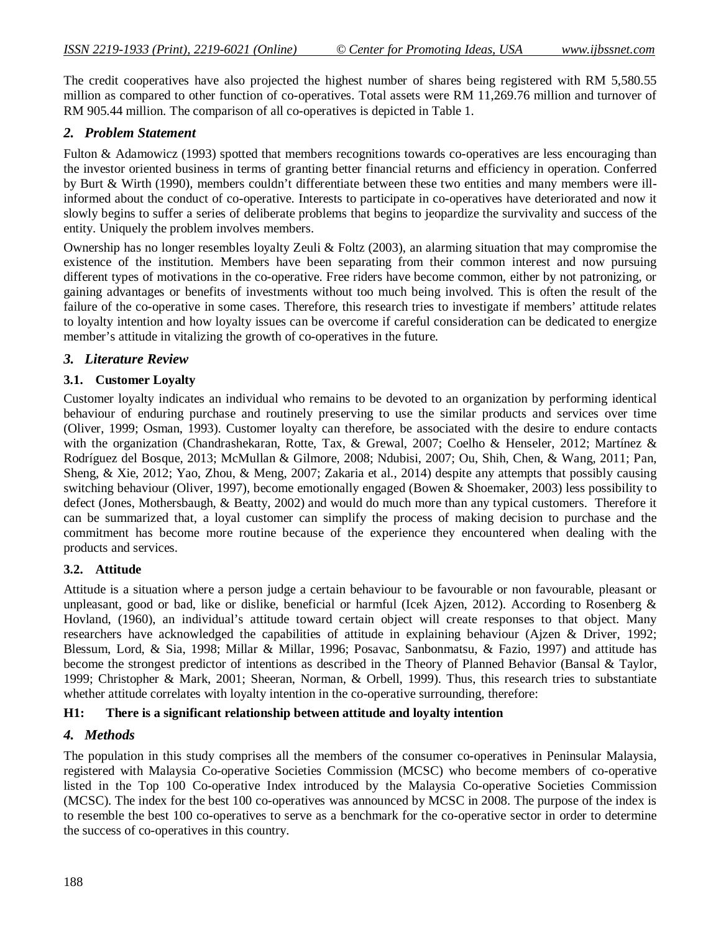The credit cooperatives have also projected the highest number of shares being registered with RM 5,580.55 million as compared to other function of co-operatives. Total assets were RM 11,269.76 million and turnover of RM 905.44 million. The comparison of all co-operatives is depicted in Table 1.

### *2. Problem Statement*

Fulton & Adamowicz (1993) spotted that members recognitions towards co-operatives are less encouraging than the investor oriented business in terms of granting better financial returns and efficiency in operation. Conferred by Burt & Wirth (1990), members couldn't differentiate between these two entities and many members were illinformed about the conduct of co-operative. Interests to participate in co-operatives have deteriorated and now it slowly begins to suffer a series of deliberate problems that begins to jeopardize the survivality and success of the entity. Uniquely the problem involves members.

Ownership has no longer resembles loyalty Zeuli & Foltz (2003), an alarming situation that may compromise the existence of the institution. Members have been separating from their common interest and now pursuing different types of motivations in the co-operative. Free riders have become common, either by not patronizing, or gaining advantages or benefits of investments without too much being involved. This is often the result of the failure of the co-operative in some cases. Therefore, this research tries to investigate if members' attitude relates to loyalty intention and how loyalty issues can be overcome if careful consideration can be dedicated to energize member's attitude in vitalizing the growth of co-operatives in the future.

#### *3. Literature Review*

#### **3.1. Customer Loyalty**

Customer loyalty indicates an individual who remains to be devoted to an organization by performing identical behaviour of enduring purchase and routinely preserving to use the similar products and services over time (Oliver, 1999; Osman, 1993). Customer loyalty can therefore, be associated with the desire to endure contacts with the organization (Chandrashekaran, Rotte, Tax, & Grewal, 2007; Coelho & Henseler, 2012; Martínez & Rodríguez del Bosque, 2013; McMullan & Gilmore, 2008; Ndubisi, 2007; Ou, Shih, Chen, & Wang, 2011; Pan, Sheng, & Xie, 2012; Yao, Zhou, & Meng, 2007; Zakaria et al., 2014) despite any attempts that possibly causing switching behaviour (Oliver, 1997), become emotionally engaged (Bowen & Shoemaker, 2003) less possibility to defect (Jones, Mothersbaugh, & Beatty, 2002) and would do much more than any typical customers. Therefore it can be summarized that, a loyal customer can simplify the process of making decision to purchase and the commitment has become more routine because of the experience they encountered when dealing with the products and services.

#### **3.2. Attitude**

Attitude is a situation where a person judge a certain behaviour to be favourable or non favourable, pleasant or unpleasant, good or bad, like or dislike, beneficial or harmful (Icek Ajzen, 2012). According to Rosenberg  $\&$ Hovland, (1960), an individual's attitude toward certain object will create responses to that object. Many researchers have acknowledged the capabilities of attitude in explaining behaviour (Ajzen & Driver, 1992; Blessum, Lord, & Sia, 1998; Millar & Millar, 1996; Posavac, Sanbonmatsu, & Fazio, 1997) and attitude has become the strongest predictor of intentions as described in the Theory of Planned Behavior (Bansal & Taylor, 1999; Christopher & Mark, 2001; Sheeran, Norman, & Orbell, 1999). Thus, this research tries to substantiate whether attitude correlates with loyalty intention in the co-operative surrounding, therefore:

#### **H1: There is a significant relationship between attitude and loyalty intention**

#### *4. Methods*

The population in this study comprises all the members of the consumer co-operatives in Peninsular Malaysia, registered with Malaysia Co-operative Societies Commission (MCSC) who become members of co-operative listed in the Top 100 Co-operative Index introduced by the Malaysia Co-operative Societies Commission (MCSC). The index for the best 100 co-operatives was announced by MCSC in 2008. The purpose of the index is to resemble the best 100 co-operatives to serve as a benchmark for the co-operative sector in order to determine the success of co-operatives in this country.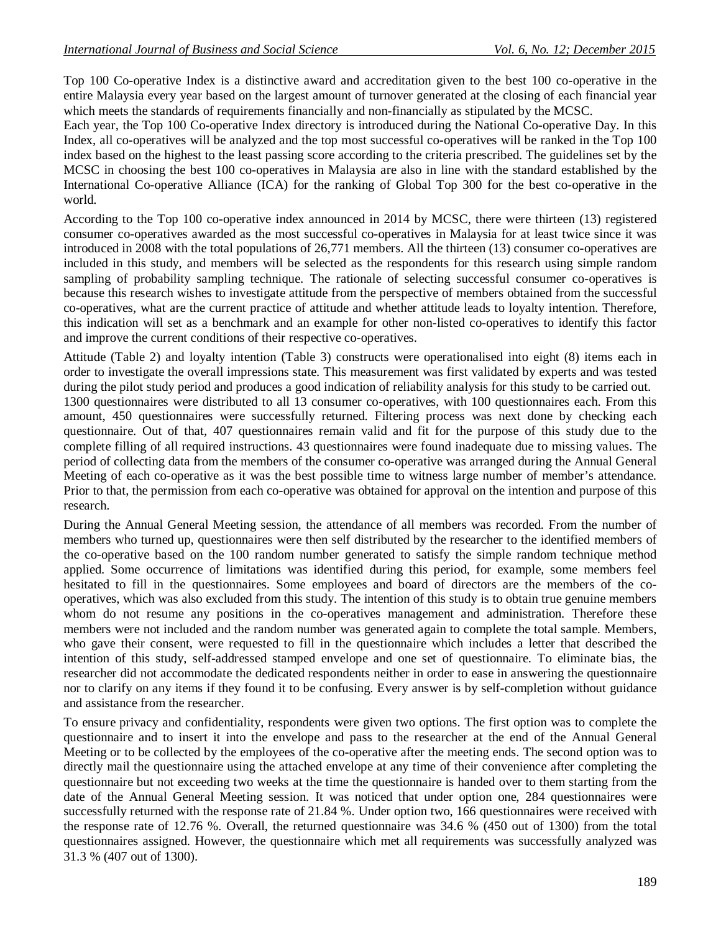Top 100 Co-operative Index is a distinctive award and accreditation given to the best 100 co-operative in the entire Malaysia every year based on the largest amount of turnover generated at the closing of each financial year which meets the standards of requirements financially and non-financially as stipulated by the MCSC.

Each year, the Top 100 Co-operative Index directory is introduced during the National Co-operative Day. In this Index, all co-operatives will be analyzed and the top most successful co-operatives will be ranked in the Top 100 index based on the highest to the least passing score according to the criteria prescribed. The guidelines set by the MCSC in choosing the best 100 co-operatives in Malaysia are also in line with the standard established by the International Co-operative Alliance (ICA) for the ranking of Global Top 300 for the best co-operative in the world.

According to the Top 100 co-operative index announced in 2014 by MCSC, there were thirteen (13) registered consumer co-operatives awarded as the most successful co-operatives in Malaysia for at least twice since it was introduced in 2008 with the total populations of 26,771 members. All the thirteen (13) consumer co-operatives are included in this study, and members will be selected as the respondents for this research using simple random sampling of probability sampling technique. The rationale of selecting successful consumer co-operatives is because this research wishes to investigate attitude from the perspective of members obtained from the successful co-operatives, what are the current practice of attitude and whether attitude leads to loyalty intention. Therefore, this indication will set as a benchmark and an example for other non-listed co-operatives to identify this factor and improve the current conditions of their respective co-operatives.

Attitude (Table 2) and loyalty intention (Table 3) constructs were operationalised into eight (8) items each in order to investigate the overall impressions state. This measurement was first validated by experts and was tested during the pilot study period and produces a good indication of reliability analysis for this study to be carried out. 1300 questionnaires were distributed to all 13 consumer co-operatives, with 100 questionnaires each. From this amount, 450 questionnaires were successfully returned. Filtering process was next done by checking each questionnaire. Out of that, 407 questionnaires remain valid and fit for the purpose of this study due to the complete filling of all required instructions. 43 questionnaires were found inadequate due to missing values. The period of collecting data from the members of the consumer co-operative was arranged during the Annual General Meeting of each co-operative as it was the best possible time to witness large number of member's attendance. Prior to that, the permission from each co-operative was obtained for approval on the intention and purpose of this research.

During the Annual General Meeting session, the attendance of all members was recorded. From the number of members who turned up, questionnaires were then self distributed by the researcher to the identified members of the co-operative based on the 100 random number generated to satisfy the simple random technique method applied. Some occurrence of limitations was identified during this period, for example, some members feel hesitated to fill in the questionnaires. Some employees and board of directors are the members of the cooperatives, which was also excluded from this study. The intention of this study is to obtain true genuine members whom do not resume any positions in the co-operatives management and administration. Therefore these members were not included and the random number was generated again to complete the total sample. Members, who gave their consent, were requested to fill in the questionnaire which includes a letter that described the intention of this study, self-addressed stamped envelope and one set of questionnaire. To eliminate bias, the researcher did not accommodate the dedicated respondents neither in order to ease in answering the questionnaire nor to clarify on any items if they found it to be confusing. Every answer is by self-completion without guidance and assistance from the researcher.

To ensure privacy and confidentiality, respondents were given two options. The first option was to complete the questionnaire and to insert it into the envelope and pass to the researcher at the end of the Annual General Meeting or to be collected by the employees of the co-operative after the meeting ends. The second option was to directly mail the questionnaire using the attached envelope at any time of their convenience after completing the questionnaire but not exceeding two weeks at the time the questionnaire is handed over to them starting from the date of the Annual General Meeting session. It was noticed that under option one, 284 questionnaires were successfully returned with the response rate of 21.84 %. Under option two, 166 questionnaires were received with the response rate of 12.76 %. Overall, the returned questionnaire was 34.6 % (450 out of 1300) from the total questionnaires assigned. However, the questionnaire which met all requirements was successfully analyzed was 31.3 % (407 out of 1300).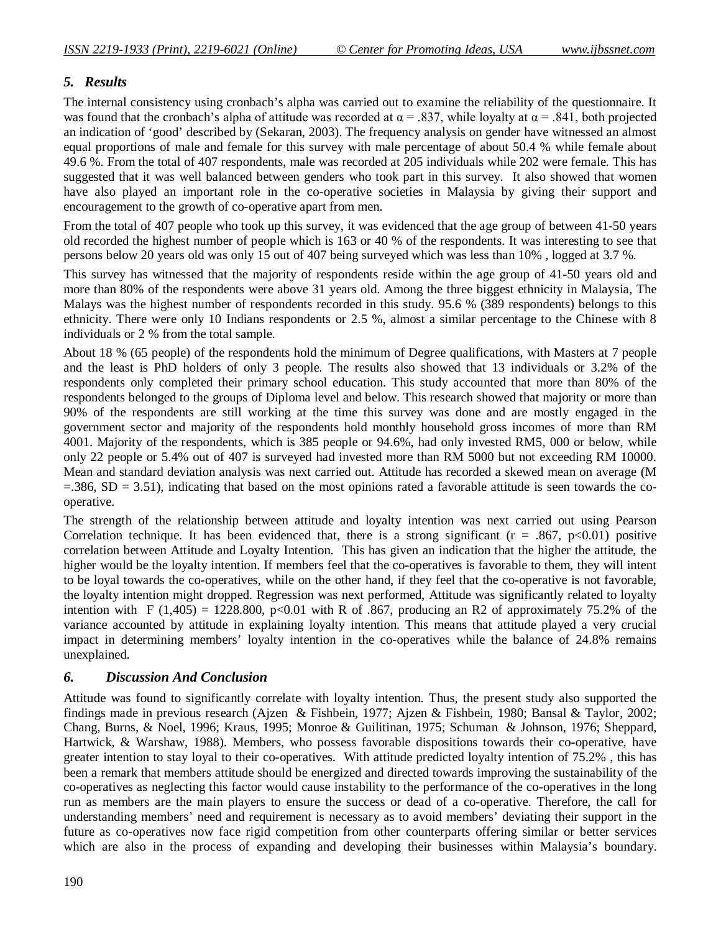# *5. Results*

The internal consistency using cronbach's alpha was carried out to examine the reliability of the questionnaire. It was found that the cronbach's alpha of attitude was recorded at  $\alpha = .837$ , while loyalty at  $\alpha = .841$ , both projected an indication of 'good' described by (Sekaran, 2003). The frequency analysis on gender have witnessed an almost equal proportions of male and female for this survey with male percentage of about 50.4 % while female about 49.6 %. From the total of 407 respondents, male was recorded at 205 individuals while 202 were female. This has suggested that it was well balanced between genders who took part in this survey. It also showed that women have also played an important role in the co-operative societies in Malaysia by giving their support and encouragement to the growth of co-operative apart from men.

From the total of 407 people who took up this survey, it was evidenced that the age group of between 41-50 years old recorded the highest number of people which is 163 or 40 % of the respondents. It was interesting to see that persons below 20 years old was only 15 out of 407 being surveyed which was less than 10% , logged at 3.7 %.

This survey has witnessed that the majority of respondents reside within the age group of 41-50 years old and more than 80% of the respondents were above 31 years old. Among the three biggest ethnicity in Malaysia, The Malays was the highest number of respondents recorded in this study. 95.6 % (389 respondents) belongs to this ethnicity. There were only 10 Indians respondents or 2.5 %, almost a similar percentage to the Chinese with 8 individuals or 2 % from the total sample.

About 18 % (65 people) of the respondents hold the minimum of Degree qualifications, with Masters at 7 people and the least is PhD holders of only 3 people. The results also showed that 13 individuals or 3.2% of the respondents only completed their primary school education. This study accounted that more than 80% of the respondents belonged to the groups of Diploma level and below. This research showed that majority or more than 90% of the respondents are still working at the time this survey was done and are mostly engaged in the government sector and majority of the respondents hold monthly household gross incomes of more than RM 4001. Majority of the respondents, which is 385 people or 94.6%, had only invested RM5, 000 or below, while only 22 people or 5.4% out of 407 is surveyed had invested more than RM 5000 but not exceeding RM 10000. Mean and standard deviation analysis was next carried out. Attitude has recorded a skewed mean on average (M  $=$ .386, SD  $=$  3.51), indicating that based on the most opinions rated a favorable attitude is seen towards the cooperative.

The strength of the relationship between attitude and loyalty intention was next carried out using Pearson Correlation technique. It has been evidenced that, there is a strong significant ( $r = .867$ ,  $p < 0.01$ ) positive correlation between Attitude and Loyalty Intention. This has given an indication that the higher the attitude, the higher would be the loyalty intention. If members feel that the co-operatives is favorable to them, they will intent to be loyal towards the co-operatives, while on the other hand, if they feel that the co-operative is not favorable, the loyalty intention might dropped. Regression was next performed, Attitude was significantly related to loyalty intention with F (1,405) = 1228.800, p<0.01 with R of .867, producing an R2 of approximately 75.2% of the variance accounted by attitude in explaining loyalty intention. This means that attitude played a very crucial impact in determining members' loyalty intention in the co-operatives while the balance of 24.8% remains unexplained.

### *6. Discussion And Conclusion*

Attitude was found to significantly correlate with loyalty intention. Thus, the present study also supported the findings made in previous research (Ajzen & Fishbein, 1977; Ajzen & Fishbein, 1980; Bansal & Taylor, 2002; Chang, Burns, & Noel, 1996; Kraus, 1995; Monroe & Guilitinan, 1975; Schuman & Johnson, 1976; Sheppard, Hartwick, & Warshaw, 1988). Members, who possess favorable dispositions towards their co-operative, have greater intention to stay loyal to their co-operatives. With attitude predicted loyalty intention of 75.2% , this has been a remark that members attitude should be energized and directed towards improving the sustainability of the co-operatives as neglecting this factor would cause instability to the performance of the co-operatives in the long run as members are the main players to ensure the success or dead of a co-operative. Therefore, the call for understanding members' need and requirement is necessary as to avoid members' deviating their support in the future as co-operatives now face rigid competition from other counterparts offering similar or better services which are also in the process of expanding and developing their businesses within Malaysia's boundary.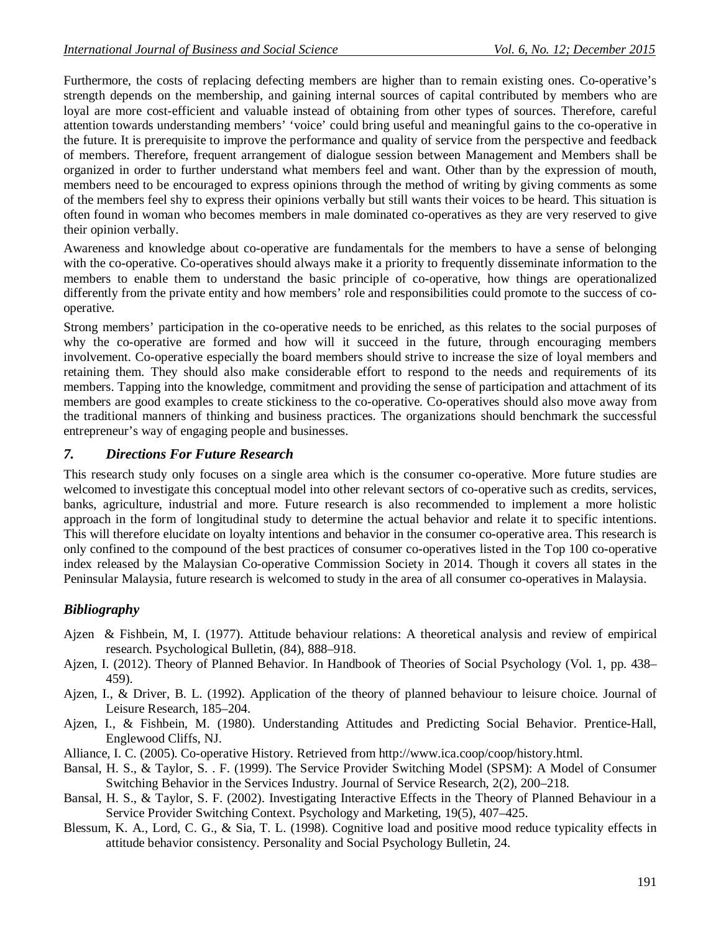Furthermore, the costs of replacing defecting members are higher than to remain existing ones. Co-operative's strength depends on the membership, and gaining internal sources of capital contributed by members who are loyal are more cost-efficient and valuable instead of obtaining from other types of sources. Therefore, careful attention towards understanding members' 'voice' could bring useful and meaningful gains to the co-operative in the future. It is prerequisite to improve the performance and quality of service from the perspective and feedback of members. Therefore, frequent arrangement of dialogue session between Management and Members shall be organized in order to further understand what members feel and want. Other than by the expression of mouth, members need to be encouraged to express opinions through the method of writing by giving comments as some of the members feel shy to express their opinions verbally but still wants their voices to be heard. This situation is often found in woman who becomes members in male dominated co-operatives as they are very reserved to give their opinion verbally.

Awareness and knowledge about co-operative are fundamentals for the members to have a sense of belonging with the co-operative. Co-operatives should always make it a priority to frequently disseminate information to the members to enable them to understand the basic principle of co-operative, how things are operationalized differently from the private entity and how members' role and responsibilities could promote to the success of cooperative.

Strong members' participation in the co-operative needs to be enriched, as this relates to the social purposes of why the co-operative are formed and how will it succeed in the future, through encouraging members involvement. Co-operative especially the board members should strive to increase the size of loyal members and retaining them. They should also make considerable effort to respond to the needs and requirements of its members. Tapping into the knowledge, commitment and providing the sense of participation and attachment of its members are good examples to create stickiness to the co-operative. Co-operatives should also move away from the traditional manners of thinking and business practices. The organizations should benchmark the successful entrepreneur's way of engaging people and businesses.

## *7. Directions For Future Research*

This research study only focuses on a single area which is the consumer co-operative. More future studies are welcomed to investigate this conceptual model into other relevant sectors of co-operative such as credits, services, banks, agriculture, industrial and more. Future research is also recommended to implement a more holistic approach in the form of longitudinal study to determine the actual behavior and relate it to specific intentions. This will therefore elucidate on loyalty intentions and behavior in the consumer co-operative area. This research is only confined to the compound of the best practices of consumer co-operatives listed in the Top 100 co-operative index released by the Malaysian Co-operative Commission Society in 2014. Though it covers all states in the Peninsular Malaysia, future research is welcomed to study in the area of all consumer co-operatives in Malaysia.

# *Bibliography*

- Ajzen & Fishbein, M, I. (1977). Attitude behaviour relations: A theoretical analysis and review of empirical research. Psychological Bulletin, (84), 888–918.
- Ajzen, I. (2012). Theory of Planned Behavior. In Handbook of Theories of Social Psychology (Vol. 1, pp. 438– 459).
- Ajzen, I., & Driver, B. L. (1992). Application of the theory of planned behaviour to leisure choice. Journal of Leisure Research, 185–204.
- Ajzen, I., & Fishbein, M. (1980). Understanding Attitudes and Predicting Social Behavior. Prentice-Hall, Englewood Cliffs, NJ.
- Alliance, I. C. (2005). Co-operative History. Retrieved from http://www.ica.coop/coop/history.html.
- Bansal, H. S., & Taylor, S. . F. (1999). The Service Provider Switching Model (SPSM): A Model of Consumer Switching Behavior in the Services Industry. Journal of Service Research, 2(2), 200–218.
- Bansal, H. S., & Taylor, S. F. (2002). Investigating Interactive Effects in the Theory of Planned Behaviour in a Service Provider Switching Context. Psychology and Marketing, 19(5), 407–425.
- Blessum, K. A., Lord, C. G., & Sia, T. L. (1998). Cognitive load and positive mood reduce typicality effects in attitude behavior consistency. Personality and Social Psychology Bulletin, 24.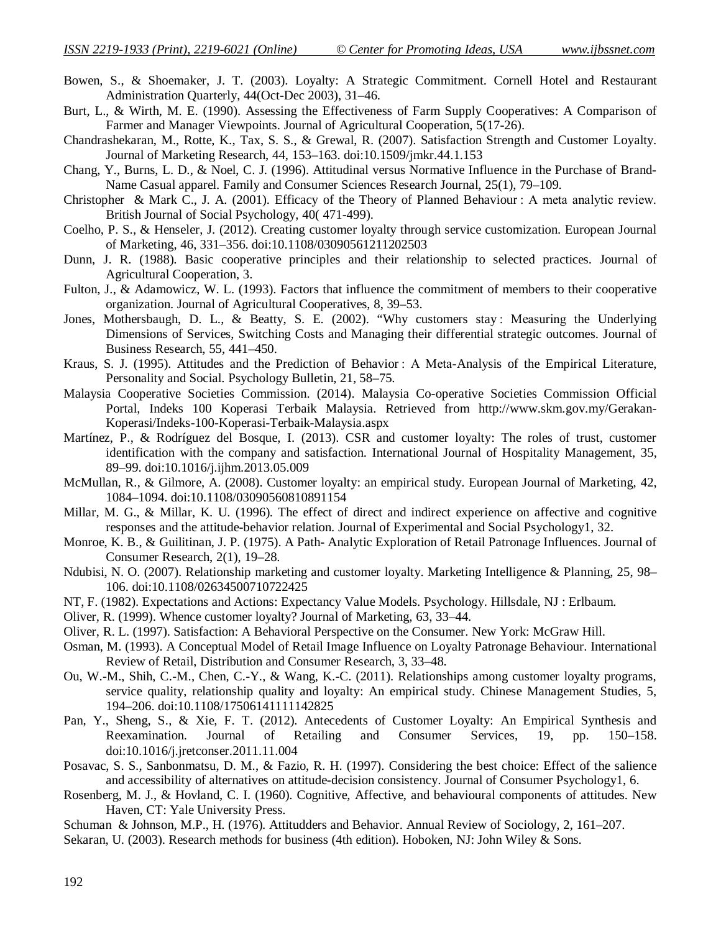- Bowen, S., & Shoemaker, J. T. (2003). Loyalty: A Strategic Commitment. Cornell Hotel and Restaurant Administration Quarterly, 44(Oct-Dec 2003), 31–46.
- Burt, L., & Wirth, M. E. (1990). Assessing the Effectiveness of Farm Supply Cooperatives: A Comparison of Farmer and Manager Viewpoints. Journal of Agricultural Cooperation, 5(17-26).
- Chandrashekaran, M., Rotte, K., Tax, S. S., & Grewal, R. (2007). Satisfaction Strength and Customer Loyalty. Journal of Marketing Research, 44, 153–163. doi:10.1509/jmkr.44.1.153
- Chang, Y., Burns, L. D., & Noel, C. J. (1996). Attitudinal versus Normative Influence in the Purchase of Brand-Name Casual apparel. Family and Consumer Sciences Research Journal, 25(1), 79–109.
- Christopher & Mark C., J. A. (2001). Efficacy of the Theory of Planned Behaviour : A meta analytic review. British Journal of Social Psychology, 40( 471-499).
- Coelho, P. S., & Henseler, J. (2012). Creating customer loyalty through service customization. European Journal of Marketing, 46, 331–356. doi:10.1108/03090561211202503
- Dunn, J. R. (1988). Basic cooperative principles and their relationship to selected practices. Journal of Agricultural Cooperation, 3.
- Fulton, J., & Adamowicz, W. L. (1993). Factors that influence the commitment of members to their cooperative organization. Journal of Agricultural Cooperatives, 8, 39–53.
- Jones, Mothersbaugh, D. L., & Beatty, S. E. (2002). "Why customers stay : Measuring the Underlying Dimensions of Services, Switching Costs and Managing their differential strategic outcomes. Journal of Business Research, 55, 441–450.
- Kraus, S. J. (1995). Attitudes and the Prediction of Behavior : A Meta-Analysis of the Empirical Literature, Personality and Social. Psychology Bulletin, 21, 58–75.
- Malaysia Cooperative Societies Commission. (2014). Malaysia Co-operative Societies Commission Official Portal, Indeks 100 Koperasi Terbaik Malaysia. Retrieved from http://www.skm.gov.my/Gerakan-Koperasi/Indeks-100-Koperasi-Terbaik-Malaysia.aspx
- Martínez, P., & Rodríguez del Bosque, I. (2013). CSR and customer loyalty: The roles of trust, customer identification with the company and satisfaction. International Journal of Hospitality Management, 35, 89–99. doi:10.1016/j.ijhm.2013.05.009
- McMullan, R., & Gilmore, A. (2008). Customer loyalty: an empirical study. European Journal of Marketing, 42, 1084–1094. doi:10.1108/03090560810891154
- Millar, M. G., & Millar, K. U. (1996). The effect of direct and indirect experience on affective and cognitive responses and the attitude-behavior relation. Journal of Experimental and Social Psychology1, 32.
- Monroe, K. B., & Guilitinan, J. P. (1975). A Path- Analytic Exploration of Retail Patronage Influences. Journal of Consumer Research, 2(1), 19–28.
- Ndubisi, N. O. (2007). Relationship marketing and customer loyalty. Marketing Intelligence & Planning, 25, 98– 106. doi:10.1108/02634500710722425
- NT, F. (1982). Expectations and Actions: Expectancy Value Models. Psychology. Hillsdale, NJ : Erlbaum.
- Oliver, R. (1999). Whence customer loyalty? Journal of Marketing, 63, 33–44.
- Oliver, R. L. (1997). Satisfaction: A Behavioral Perspective on the Consumer. New York: McGraw Hill.
- Osman, M. (1993). A Conceptual Model of Retail Image Influence on Loyalty Patronage Behaviour. International Review of Retail, Distribution and Consumer Research, 3, 33–48.
- Ou, W.-M., Shih, C.-M., Chen, C.-Y., & Wang, K.-C. (2011). Relationships among customer loyalty programs, service quality, relationship quality and loyalty: An empirical study. Chinese Management Studies, 5, 194–206. doi:10.1108/17506141111142825
- Pan, Y., Sheng, S., & Xie, F. T. (2012). Antecedents of Customer Loyalty: An Empirical Synthesis and Reexamination. Journal of Retailing and Consumer Services, 19, pp. 150–158. doi:10.1016/j.jretconser.2011.11.004
- Posavac, S. S., Sanbonmatsu, D. M., & Fazio, R. H. (1997). Considering the best choice: Effect of the salience and accessibility of alternatives on attitude-decision consistency. Journal of Consumer Psychology1, 6.
- Rosenberg, M. J., & Hovland, C. I. (1960). Cognitive, Affective, and behavioural components of attitudes. New Haven, CT: Yale University Press.
- Schuman & Johnson, M.P., H. (1976). Attitudders and Behavior. Annual Review of Sociology, 2, 161–207.
- Sekaran, U. (2003). Research methods for business (4th edition). Hoboken, NJ: John Wiley & Sons.